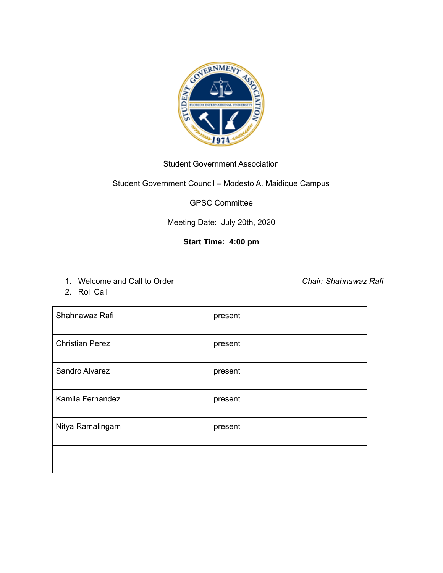

## Student Government Association

## Student Government Council – Modesto A. Maidique Campus

GPSC Committee

Meeting Date: July 20th, 2020

## **Start Time: 4:00 pm**

1. Welcome and Call to Order *Chair: Shahnawaz Rafi*

2. Roll Call

| Shahnawaz Rafi         | present |
|------------------------|---------|
| <b>Christian Perez</b> | present |
| Sandro Alvarez         | present |
| Kamila Fernandez       | present |
| Nitya Ramalingam       | present |
|                        |         |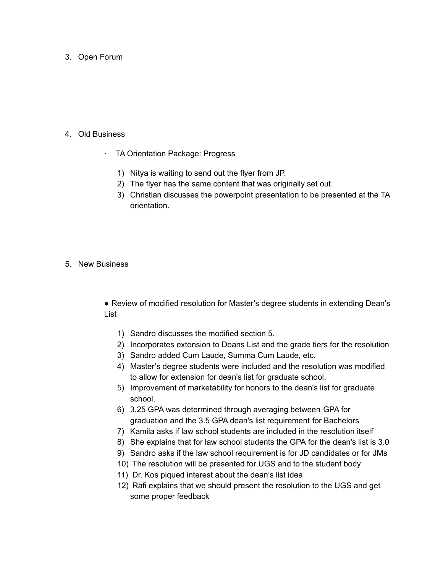3. Open Forum

- 4. Old Business
	- TA Orientation Package: Progress
		- 1) Nitya is waiting to send out the flyer from JP.
		- 2) The flyer has the same content that was originally set out.
		- 3) Christian discusses the powerpoint presentation to be presented at the TA orientation.
- 5. New Business

● Review of modified resolution for Master's degree students in extending Dean's List

- 1) Sandro discusses the modified section 5.
- 2) Incorporates extension to Deans List and the grade tiers for the resolution
- 3) Sandro added Cum Laude, Summa Cum Laude, etc.
- 4) Master's degree students were included and the resolution was modified to allow for extension for dean's list for graduate school.
- 5) Improvement of marketability for honors to the dean's list for graduate school.
- 6) 3.25 GPA was determined through averaging between GPA for graduation and the 3.5 GPA dean's list requirement for Bachelors
- 7) Kamila asks if law school students are included in the resolution itself
- 8) She explains that for law school students the GPA for the dean's list is 3.0
- 9) Sandro asks if the law school requirement is for JD candidates or for JMs
- 10) The resolution will be presented for UGS and to the student body
- 11) Dr. Kos piqued interest about the dean's list idea
- 12) Rafi explains that we should present the resolution to the UGS and get some proper feedback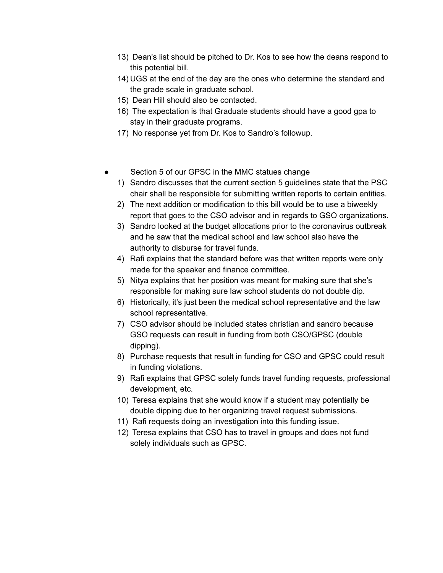- 13) Dean's list should be pitched to Dr. Kos to see how the deans respond to this potential bill.
- 14) UGS at the end of the day are the ones who determine the standard and the grade scale in graduate school.
- 15) Dean Hill should also be contacted.
- 16) The expectation is that Graduate students should have a good gpa to stay in their graduate programs.
- 17) No response yet from Dr. Kos to Sandro's followup.
- Section 5 of our GPSC in the MMC statues change
	- 1) Sandro discusses that the current section 5 guidelines state that the PSC chair shall be responsible for submitting written reports to certain entities.
	- 2) The next addition or modification to this bill would be to use a biweekly report that goes to the CSO advisor and in regards to GSO organizations.
	- 3) Sandro looked at the budget allocations prior to the coronavirus outbreak and he saw that the medical school and law school also have the authority to disburse for travel funds.
	- 4) Rafi explains that the standard before was that written reports were only made for the speaker and finance committee.
	- 5) Nitya explains that her position was meant for making sure that she's responsible for making sure law school students do not double dip.
	- 6) Historically, it's just been the medical school representative and the law school representative.
	- 7) CSO advisor should be included states christian and sandro because GSO requests can result in funding from both CSO/GPSC (double dipping).
	- 8) Purchase requests that result in funding for CSO and GPSC could result in funding violations.
	- 9) Rafi explains that GPSC solely funds travel funding requests, professional development, etc.
	- 10) Teresa explains that she would know if a student may potentially be double dipping due to her organizing travel request submissions.
	- 11) Rafi requests doing an investigation into this funding issue.
	- 12) Teresa explains that CSO has to travel in groups and does not fund solely individuals such as GPSC.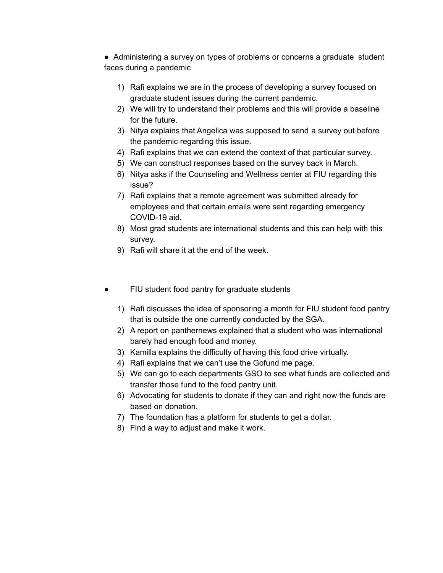● Administering a survey on types of problems or concerns a graduate student faces during a pandemic

- 1) Rafi explains we are in the process of developing a survey focused on graduate student issues during the current pandemic.
- 2) We will try to understand their problems and this will provide a baseline for the future.
- 3) Nitya explains that Angelica was supposed to send a survey out before the pandemic regarding this issue.
- 4) Rafi explains that we can extend the context of that particular survey.
- 5) We can construct responses based on the survey back in March.
- 6) Nitya asks if the Counseling and Wellness center at FIU regarding this issue?
- 7) Rafi explains that a remote agreement was submitted already for employees and that certain emails were sent regarding emergency COVID-19 aid.
- 8) Most grad students are international students and this can help with this survey.
- 9) Rafi will share it at the end of the week.
- FIU student food pantry for graduate students
	- 1) Rafi discusses the idea of sponsoring a month for FIU student food pantry that is outside the one currently conducted by the SGA.
	- 2) A report on panthernews explained that a student who was international barely had enough food and money.
	- 3) Kamilla explains the difficulty of having this food drive virtually.
	- 4) Rafi explains that we can't use the Gofund me page.
	- 5) We can go to each departments GSO to see what funds are collected and transfer those fund to the food pantry unit.
	- 6) Advocating for students to donate if they can and right now the funds are based on donation.
	- 7) The foundation has a platform for students to get a dollar.
	- 8) Find a way to adjust and make it work.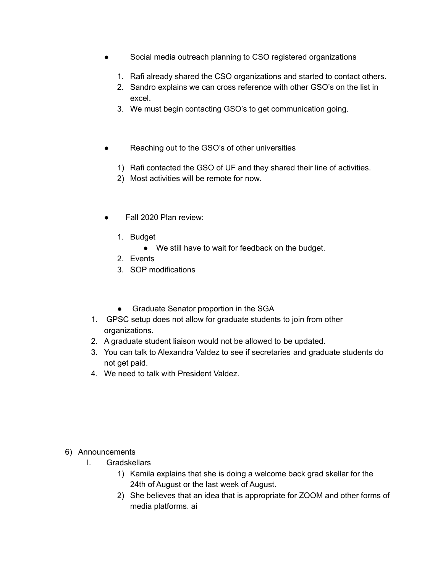- Social media outreach planning to CSO registered organizations
	- 1. Rafi already shared the CSO organizations and started to contact others.
	- 2. Sandro explains we can cross reference with other GSO's on the list in excel.
	- 3. We must begin contacting GSO's to get communication going.
- Reaching out to the GSO's of other universities
	- 1) Rafi contacted the GSO of UF and they shared their line of activities.
	- 2) Most activities will be remote for now.
- Fall 2020 Plan review:
	- 1. Budget
		- We still have to wait for feedback on the budget.
	- 2. Events
	- 3. SOP modifications
	- Graduate Senator proportion in the SGA
- 1. GPSC setup does not allow for graduate students to join from other organizations.
- 2. A graduate student liaison would not be allowed to be updated.
- 3. You can talk to Alexandra Valdez to see if secretaries and graduate students do not get paid.
- 4. We need to talk with President Valdez.

- 6) Announcements
	- I. Gradskellars
		- 1) Kamila explains that she is doing a welcome back grad skellar for the 24th of August or the last week of August.
		- 2) She believes that an idea that is appropriate for ZOOM and other forms of media platforms. ai